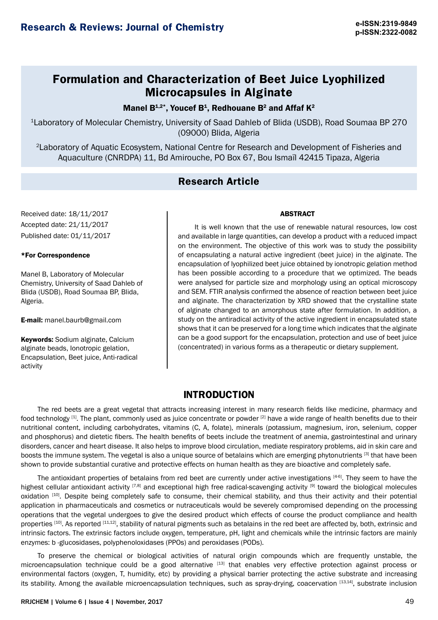# **Formulation and Characterization of Beet Juice Lyophilized Microcapsules in Alginate**

Manel  $B^{1,2*}$ , Youcef  $B^1$ , Redhouane  $B^2$  and Affaf  $K^2$ 

<sup>1</sup>Laboratory of Molecular Chemistry, University of Saad Dahleb of Blida (USDB), Road Soumaa BP 270 (09000) Blida, Algeria

<sup>2</sup>Laboratory of Aquatic Ecosystem, National Centre for Research and Development of Fisheries and Aquaculture (CNRDPA) 11, Bd Amirouche, PO Box 67, Bou Ismaïl 42415 Tipaza, Algeria

## **Research Article**

Received date: 18/11/2017 Accepted date: 21/11/2017 Published date: 01/11/2017

### \*For Correspondence

Manel B, Laboratory of Molecular Chemistry, University of Saad Dahleb of Blida (USDB), Road Soumaa BP, Blida, Algeria.

E-mail: [manel.baurb@gmail.com](mailto:manel.baurb@gmail.com)

Keywords: Sodium alginate, Calcium alginate beads, Ionotropic gelation, Encapsulation, Beet juice, Anti-radical activity

It is well known that the use of renewable natural resources, low cost and available in large quantities, can develop a product with a reduced impact on the environment. The objective of this work was to study the possibility of encapsulating a natural active ingredient (beet juice) in the alginate. The encapsulation of lyophilized beet juice obtained by ionotropic gelation method has been possible according to a procedure that we optimized. The beads were analysed for particle size and morphology using an optical microscopy and SEM. FTIR analysis confirmed the absence of reaction between beet juice and alginate. The characterization by XRD showed that the crystalline state of alginate changed to an amorphous state after formulation. In addition, a study on the antiradical activity of the active ingredient in encapsulated state shows that it can be preserved for a long time which indicates that the alginate can be a good support for the encapsulation, protection and use of beet juice

(concentrated) in various forms as a therapeutic or dietary supplement.

ABSTRACT

## **INTRODUCTION**

The red beets are a great vegetal that attracts increasing interest in many research fields like medicine, pharmacy and food technology [1]. The plant, commonly used as juice concentrate or powder [2] have a wide range of health benefits due to their nutritional content, including carbohydrates, vitamins (C, A, folate), minerals (potassium, magnesium, iron, selenium, copper and phosphorus) and dietetic fibers. The health benefits of beets include the treatment of anemia, gastrointestinal and urinary disorders, cancer and heart disease. It also helps to improve blood circulation, mediate respiratory problems, aid in skin care and boosts the immune system. The vegetal is also a unique source of betalains which are emerging phytonutrients [3] that have been shown to provide substantial curative and protective effects on human health as they are bioactive and completely safe.

The antioxidant properties of betalains from red beet are currently under active investigations [4-6]. They seem to have the highest cellular antioxidant activity [7,8] and exceptional high free radical-scavenging activity [9] toward the biological molecules oxidation [10]. Despite being completely safe to consume, their chemical stability, and thus their activity and their potential application in pharmaceuticals and cosmetics or nutraceuticals would be severely compromised depending on the processing operations that the vegetal undergoes to give the desired product which effects of course the product compliance and health properties [10]. As reported [11,12], stability of natural pigments such as betalains in the red beet are affected by, both, extrinsic and intrinsic factors. The extrinsic factors include oxygen, temperature, pH, light and chemicals while the intrinsic factors are mainly enzymes: b -glucosidases, polyphenoloxidases (PPOs) and peroxidases (PODs).

To preserve the chemical or biological activities of natural origin compounds which are frequently unstable, the microencapsulation technique could be a good alternative [13] that enables very effective protection against process or environmental factors (oxygen, T, humidity, etc) by providing a physical barrier protecting the active substrate and increasing its stability. Among the available microencapsulation techniques, such as spray-drying, coacervation [13,14], substrate inclusion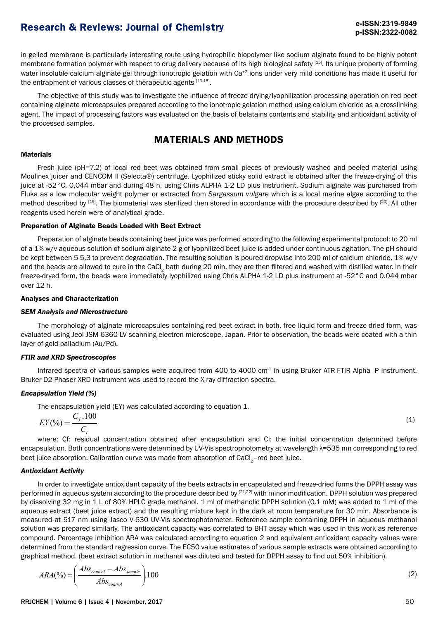in gelled membrane is particularly interesting route using hydrophilic biopolymer like sodium alginate found to be highly potent membrane formation polymer with respect to drug delivery because of its high biological safety [15]. Its unique property of forming water insoluble calcium alginate gel through ionotropic gelation with Ca<sup>+2</sup> ions under very mild conditions has made it useful for the entrapment of various classes of therapeutic agents [16-18].

The objective of this study was to investigate the influence of freeze-drying/lyophilization processing operation on red beet containing alginate microcapsules prepared according to the ionotropic gelation method using calcium chloride as a crosslinking agent. The impact of processing factors was evaluated on the basis of belatains contents and stability and antioxidant activity of the processed samples.

### **MATERIALS AND METHODS**

#### **Materials**

Fresh iuice (pH=7.2) of local red beet was obtained from small pieces of previously washed and peeled material using Moulinex juicer and CENCOM II (Selecta®) centrifuge. Lyophilized sticky solid extract is obtained after the freeze-drying of this juice at -52°C, 0,044 mbar and during 48 h, using Chris ALPHA 1-2 LD plus instrument. Sodium alginate was purchased from Fluka as a low molecular weight polymer or extracted from *Sargassum vulgare* which is a local marine algae according to the method described by <sup>[19]</sup>. The biomaterial was sterilized then stored in accordance with the procedure described by <sup>[20]</sup>. All other reagents used herein were of analytical grade.

### Preparation of Alginate Beads Loaded with Beet Extract

Preparation of alginate beads containing beet juice was performed according to the following experimental protocol: to 20 ml of a 1% w/v aqueous solution of sodium alginate 2 g of lyophilized beet juice is added under continuous agitation. The pH should be kept between 5-5.3 to prevent degradation. The resulting solution is poured dropwise into 200 ml of calcium chloride, 1% w/v and the beads are allowed to cure in the CaCl<sub>2</sub> bath during 20 min, they are then filtered and washed with distilled water. In their freeze-dryed form, the beads were immediately lyophilized using Chris ALPHA 1-2 LD plus instrument at -52°C and 0.044 mbar over 12 h.

### Analyses and Characterization

#### *SEM Analysis and Microstructure*

The morphology of alginate microcapsules containing red beet extract in both, free liquid form and freeze-dried form, was evaluated using Jeol JSM-6360 LV scanning electron microscope, Japan. Prior to observation, the beads were coated with a thin layer of gold-palladium (Au/Pd).

#### *FTIR and XRD Spectroscopies*

Infrared spectra of various samples were acquired from 400 to 4000 cm<sup>-1</sup> in using Bruker ATR-FTIR Alpha-P Instrument. Bruker D2 Phaser XRD instrument was used to record the X-ray diffraction spectra.

### *Encapsulation Yield (%)*

The encapsulation yield (EY) was calculated according to equation 1.

$$
EY(\%) = \frac{C_f \cdot 100}{C_i} \tag{1}
$$

where: Cf: residual concentration obtained after encapsulation and Ci: the initial concentration determined before encapsulation. Both concentrations were determined by UV-Vis spectrophotometry at wavelength λ=535 nm corresponding to red beet juice absorption. Calibration curve was made from absorption of CaCl<sub>2</sub>-red beet juice.

### *Antioxidant Activity*

In order to investigate antioxidant capacity of the beets extracts in encapsulated and freeze-dried forms the DPPH assay was performed in aqueous system according to the procedure described by [21,22] with minor modification. DPPH solution was prepared by dissolving 32 mg in 1 L of 80% HPLC grade methanol. 1 ml of methanolic DPPH solution (0.1 mM) was added to 1 ml of the aqueous extract (beet juice extract) and the resulting mixture kept in the dark at room temperature for 30 min. Absorbance is measured at 517 nm using Jasco V-630 UV-Vis spectrophotometer. Reference sample containing DPPH in aqueous methanol solution was prepared similarly. The antioxidant capacity was correlated to BHT assay which was used in this work as reference compound. Percentage inhibition ARA was calculated according to equation 2 and equivalent antioxidant capacity values were determined from the standard regression curve. The EC50 value estimates of various sample extracts were obtained according to graphical method. (beet extract solution in methanol was diluted and tested for DPPH assay to find out 50% inhibition).

$$
ARA(\%) = \left(\frac{Abs_{control} - Abs_{sample}}{Abs_{control}}\right) \cdot 100\tag{2}
$$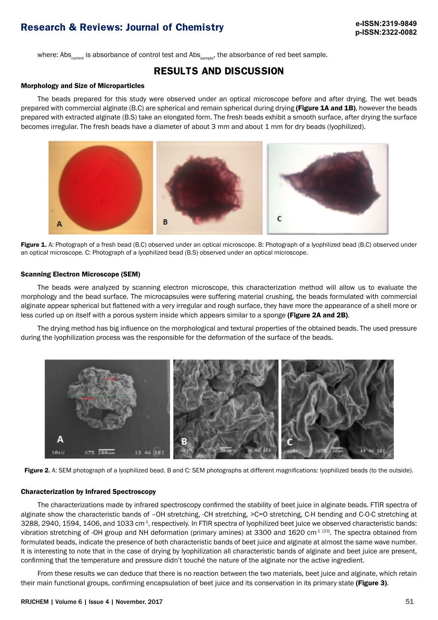where: Abs<sub>control</sub> is absorbance of control test and Abs<sub>sample</sub>, the absorbance of red beet sample.

### **RESULTS AND DISCUSSION**

#### Morphology and Size of Microparticles

The beads prepared for this study were observed under an optical microscope before and after drying. The wet beads prepared with commercial alginate (B.C) are spherical and remain spherical during drying (Figure 1A and 1B), however the beads prepared with extracted alginate (B.S) take an elongated form. The fresh beads exhibit a smooth surface, after drying the surface becomes irregular. The fresh beads have a diameter of about 3 mm and about 1 mm for dry beads (lyophilized).



Figure 1. A: Photograph of a fresh bead (B.C) observed under an optical microscope. B: Photograph of a lyophilized bead (B.C) observed under an optical microscope. C: Photograph of a lyophilized bead (B.S) observed under an optical microscope.

#### Scanning Electron Microscope (SEM)

The beads were analyzed by scanning electron microscope, this characterization method will allow us to evaluate the morphology and the bead surface. The microcapsules were suffering material crushing, the beads formulated with commercial alginate appear spherical but flattened with a very irregular and rough surface, they have more the appearance of a shell more or less curled up on itself with a porous system inside which appears similar to a sponge (Figure 2A and 2B).

The drying method has big influence on the morphological and textural properties of the obtained beads. The used pressure during the lyophilization process was the responsible for the deformation of the surface of the beads.



Figure 2. A: SEM photograph of a lyophilized bead. B and C: SEM photographs at different magnifications: lyophilized beads (to the outside).

#### Characterization by Infrared Spectroscopy

The characterizations made by infrared spectroscopy confirmed the stability of beet juice in alginate beads. FTIR spectra of alginate show the characteristic bands of –OH stretching, -CH stretching, >C=O stretching, C-H bending and C-O-C stretching at 3288, 2940, 1594, 1406, and 1033 cm<sup>-1</sup>, respectively. In FTIR spectra of lyophilized beet juice we observed characteristic bands: vibration stretching of -OH group and NH deformation (primary amines) at 3300 and 1620 cm<sup>-1 [23]</sup>. The spectra obtained from formulated beads, indicate the presence of both characteristic bands of beet juice and alginate at almost the same wave number. It is interesting to note that in the case of drying by lyophilization all characteristic bands of alginate and beet juice are present, confirming that the temperature and pressure didn't touché the nature of the alginate nor the active ingredient.

From these results we can deduce that there is no reaction between the two materials, beet juice and alginate, which retain their main functional groups, confirming encapsulation of beet juice and its conservation in its primary state (Figure 3).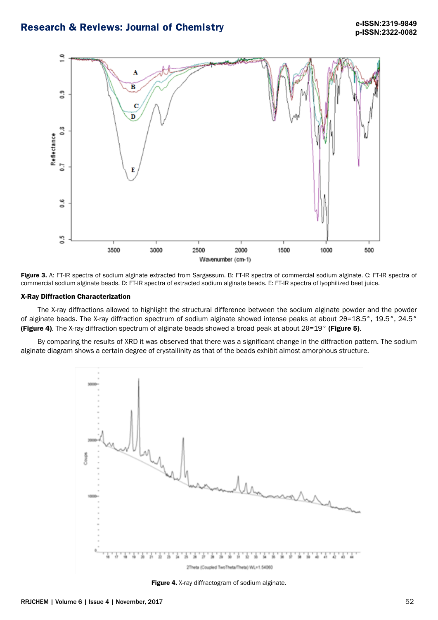

Figure 3. A: FT-IR spectra of sodium alginate extracted from Sargassum. B: FT-IR spectra of commercial sodium alginate. C: FT-IR spectra of commercial sodium alginate beads. D: FT-IR spectra of extracted sodium alginate beads. E: FT-IR spectra of lyophilized beet juice.

#### X-Ray Diffraction Characterization

The X-ray diffractions allowed to highlight the structural difference between the sodium alginate powder and the powder of alginate beads. The X-ray diffraction spectrum of sodium alginate showed intense peaks at about 2θ=18.5°, 19.5°, 24.5° (Figure 4). The X-ray diffraction spectrum of alginate beads showed a broad peak at about 2θ=19° (Figure 5).

By comparing the results of XRD it was observed that there was a significant change in the diffraction pattern. The sodium alginate diagram shows a certain degree of crystallinity as that of the beads exhibit almost amorphous structure.



Figure 4. X-ray diffractogram of sodium alginate.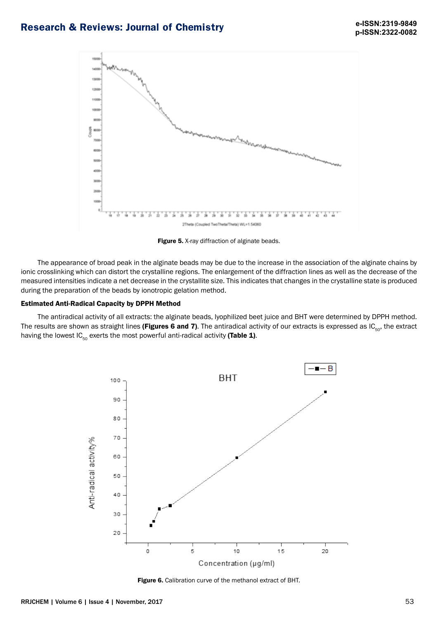

Figure 5. X-ray diffraction of alginate beads.

The appearance of broad peak in the alginate beads may be due to the increase in the association of the alginate chains by ionic crosslinking which can distort the crystalline regions. The enlargement of the diffraction lines as well as the decrease of the measured intensities indicate a net decrease in the crystallite size. This indicates that changes in the crystalline state is produced during the preparation of the beads by ionotropic gelation method.

### Estimated Anti-Radical Capacity by DPPH Method

The antiradical activity of all extracts: the alginate beads, lyophilized beet juice and BHT were determined by DPPH method. The results are shown as straight lines (Figures 6 and 7). The antiradical activity of our extracts is expressed as  $IC_{50}$ , the extract having the lowest  $IC_{50}$  exerts the most powerful anti-radical activity (Table 1).



Figure 6. Calibration curve of the methanol extract of BHT.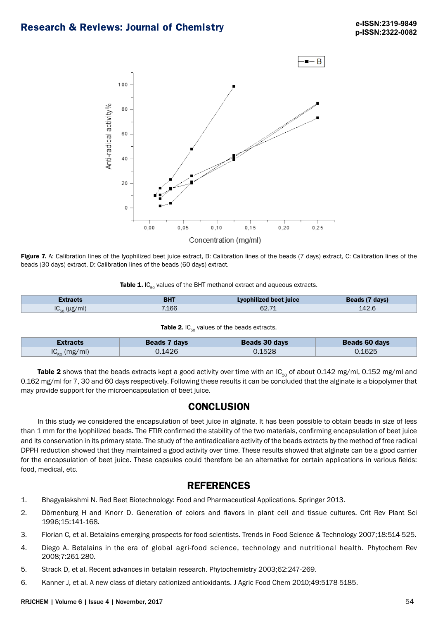

Figure 7. A: Calibration lines of the lyophilized beet juice extract, B: Calibration lines of the beads (7 days) extract, C: Calibration lines of the beads (30 days) extract, D: Calibration lines of the beads (60 days) extract.

| Table 1. IC <sub>50</sub> values of the BHT methanol extract and aqueous extracts. |  |
|------------------------------------------------------------------------------------|--|
|------------------------------------------------------------------------------------|--|

| Extracts       | <b>BHT</b> | Lyophilized beet juice | Beads (7 days) |
|----------------|------------|------------------------|----------------|
| IC.<br>(µg/ml) | 7.166      | 62.71                  | 142.6          |

| Table 2. $IC_{50}$ values of the beads extracts. |  |  |  |  |
|--------------------------------------------------|--|--|--|--|
|--------------------------------------------------|--|--|--|--|

| <i>E</i> xtracts     | Beads 7 days | <b>Beads 30 days</b> | Beads 60 days |
|----------------------|--------------|----------------------|---------------|
| $IC_{50}$<br>(mg/ml) | J.1426       | 0.1528               | 1625. ل       |

Table 2 shows that the beads extracts kept a good activity over time with an  $IC_{50}$  of about 0.142 mg/ml, 0.152 mg/ml and 0.162 mg/ml for 7, 30 and 60 days respectively. Following these results it can be concluded that the alginate is a biopolymer that may provide support for the microencapsulation of beet juice.

### **CONCLUSION**

In this study we considered the encapsulation of beet juice in alginate. It has been possible to obtain beads in size of less than 1 mm for the lyophilized beads. The FTIR confirmed the stability of the two materials, confirming encapsulation of beet juice and its conservation in its primary state. The study of the antiradicaliare activity of the beads extracts by the method of free radical DPPH reduction showed that they maintained a good activity over time. These results showed that alginate can be a good carrier for the encapsulation of beet juice. These capsules could therefore be an alternative for certain applications in various fields: food, medical, etc.

### **REFERENCES**

- 1. Bhagyalakshmi N. Red Beet Biotechnology: Food and Pharmaceutical Applications. Springer 2013.
- 2. Dörnenburg H and Knorr D. Generation of colors and flavors in plant cell and tissue cultures. Crit Rev Plant Sci 1996;15:141-168.
- 3. Florian C, et al. Betalains-emerging prospects for food scientists. Trends in Food Science & Technology 2007;18:514-525.
- 4. Diego A. Betalains in the era of global agri-food science, technology and nutritional health. Phytochem Rev 2008;7:261-280.
- 5. Strack D, et al. Recent advances in betalain research. Phytochemistry 2003;62:247-269.
- 6. Kanner J, et al. A new class of dietary cationized antioxidants. J Agric Food Chem 2010;49:5178-5185.